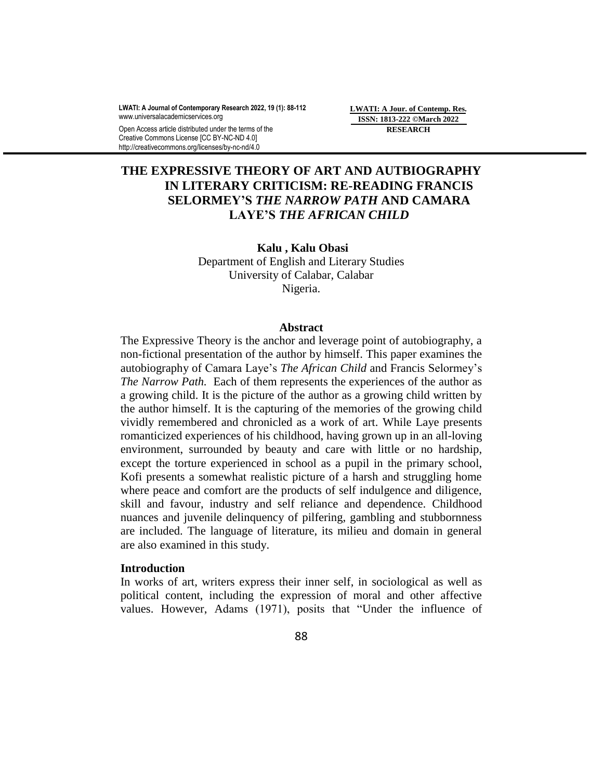**LWATI: A Journal of Contemporary Research 2022, 19 (1): 88-112** www.universalacademicservices.org

Open Access article distributed under the terms of the Creative Commons License [CC BY-NC-ND 4.0] http://creativecommons.org/licenses/by-nc-nd/4.0

**LWATI: A Jour. of Contemp. Res. ISSN: 1813-222 ©March 2022 RESEARCH**

# **THE EXPRESSIVE THEORY OF ART AND AUTBIOGRAPHY IN LITERARY CRITICISM: RE-READING FRANCIS SELORMEY'S** *THE NARROW PATH* **AND CAMARA LAYE'S** *THE AFRICAN CHILD*

**Kalu , Kalu Obasi** Department of English and Literary Studies University of Calabar, Calabar Nigeria.

#### **Abstract**

The Expressive Theory is the anchor and leverage point of autobiography, a non-fictional presentation of the author by himself. This paper examines the autobiography of Camara Laye"s *The African Child* and Francis Selormey"s *The Narrow Path.* Each of them represents the experiences of the author as a growing child. It is the picture of the author as a growing child written by the author himself. It is the capturing of the memories of the growing child vividly remembered and chronicled as a work of art. While Laye presents romanticized experiences of his childhood, having grown up in an all-loving environment, surrounded by beauty and care with little or no hardship, except the torture experienced in school as a pupil in the primary school, Kofi presents a somewhat realistic picture of a harsh and struggling home where peace and comfort are the products of self indulgence and diligence, skill and favour, industry and self reliance and dependence. Childhood nuances and juvenile delinquency of pilfering, gambling and stubbornness are included. The language of literature, its milieu and domain in general are also examined in this study.

### **Introduction**

In works of art, writers express their inner self, in sociological as well as political content, including the expression of moral and other affective values. However, Adams (1971), posits that "Under the influence of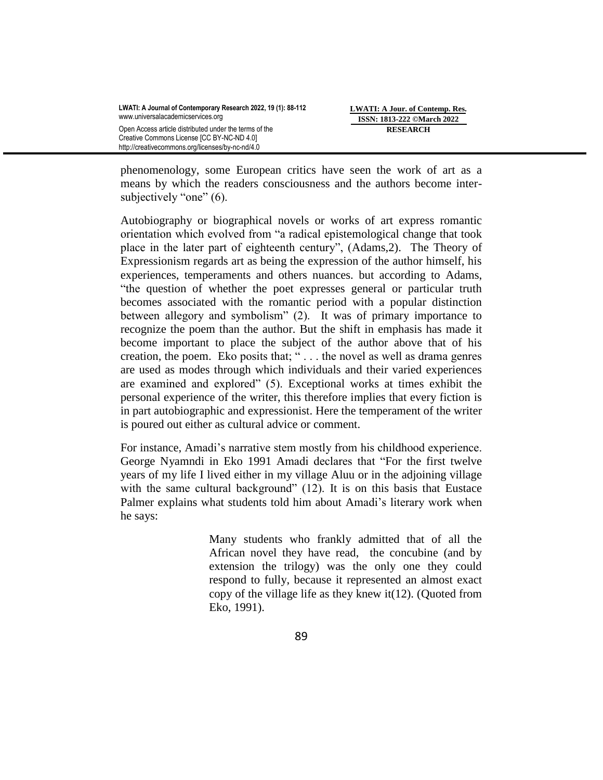**LWATI: A Jour. of Contemp. Res. ISSN: 1813-222 ©March 2022 RESEARCH**

phenomenology, some European critics have seen the work of art as a means by which the readers consciousness and the authors become intersubjectively "one" (6).

Autobiography or biographical novels or works of art express romantic orientation which evolved from "a radical epistemological change that took place in the later part of eighteenth century", (Adams,2). The Theory of Expressionism regards art as being the expression of the author himself, his experiences, temperaments and others nuances. but according to Adams, "the question of whether the poet expresses general or particular truth becomes associated with the romantic period with a popular distinction between allegory and symbolism" (2). It was of primary importance to recognize the poem than the author. But the shift in emphasis has made it become important to place the subject of the author above that of his creation, the poem. Eko posits that; " . . . the novel as well as drama genres are used as modes through which individuals and their varied experiences are examined and explored" (5). Exceptional works at times exhibit the personal experience of the writer, this therefore implies that every fiction is in part autobiographic and expressionist. Here the temperament of the writer is poured out either as cultural advice or comment.

For instance, Amadi"s narrative stem mostly from his childhood experience. George Nyamndi in Eko 1991 Amadi declares that "For the first twelve years of my life I lived either in my village Aluu or in the adjoining village with the same cultural background" (12). It is on this basis that Eustace Palmer explains what students told him about Amadi"s literary work when he says:

> Many students who frankly admitted that of all the African novel they have read, the concubine (and by extension the trilogy) was the only one they could respond to fully, because it represented an almost exact copy of the village life as they knew it( $12$ ). (Quoted from Eko, 1991).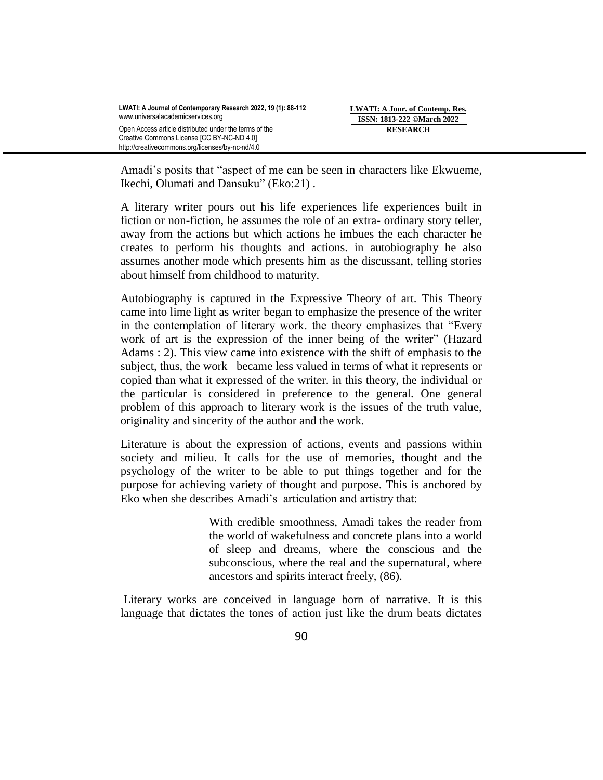Amadi"s posits that "aspect of me can be seen in characters like Ekwueme, Ikechi, Olumati and Dansuku" (Eko:21) .

A literary writer pours out his life experiences life experiences built in fiction or non-fiction, he assumes the role of an extra- ordinary story teller, away from the actions but which actions he imbues the each character he creates to perform his thoughts and actions. in autobiography he also assumes another mode which presents him as the discussant, telling stories about himself from childhood to maturity.

Autobiography is captured in the Expressive Theory of art. This Theory came into lime light as writer began to emphasize the presence of the writer in the contemplation of literary work. the theory emphasizes that "Every work of art is the expression of the inner being of the writer" (Hazard Adams : 2). This view came into existence with the shift of emphasis to the subject, thus, the work became less valued in terms of what it represents or copied than what it expressed of the writer. in this theory, the individual or the particular is considered in preference to the general. One general problem of this approach to literary work is the issues of the truth value, originality and sincerity of the author and the work.

Literature is about the expression of actions, events and passions within society and milieu. It calls for the use of memories, thought and the psychology of the writer to be able to put things together and for the purpose for achieving variety of thought and purpose. This is anchored by Eko when she describes Amadi"s articulation and artistry that:

> With credible smoothness, Amadi takes the reader from the world of wakefulness and concrete plans into a world of sleep and dreams, where the conscious and the subconscious, where the real and the supernatural, where ancestors and spirits interact freely, (86).

Literary works are conceived in language born of narrative. It is this language that dictates the tones of action just like the drum beats dictates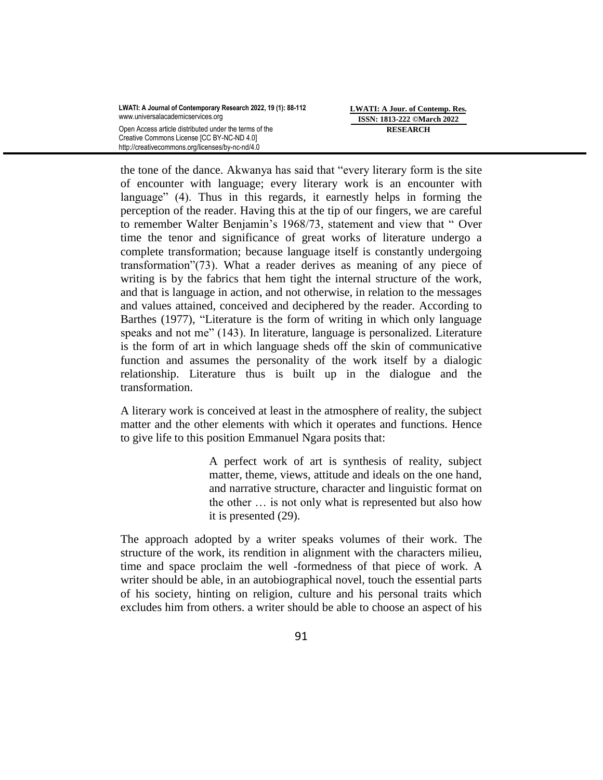the tone of the dance. Akwanya has said that "every literary form is the site of encounter with language; every literary work is an encounter with language" (4). Thus in this regards, it earnestly helps in forming the perception of the reader. Having this at the tip of our fingers, we are careful to remember Walter Benjamin's 1968/73, statement and view that "Over time the tenor and significance of great works of literature undergo a complete transformation; because language itself is constantly undergoing transformation"(73). What a reader derives as meaning of any piece of writing is by the fabrics that hem tight the internal structure of the work, and that is language in action, and not otherwise, in relation to the messages and values attained, conceived and deciphered by the reader. According to Barthes (1977), "Literature is the form of writing in which only language speaks and not me" (143). In literature, language is personalized. Literature is the form of art in which language sheds off the skin of communicative function and assumes the personality of the work itself by a dialogic relationship. Literature thus is built up in the dialogue and the transformation.

A literary work is conceived at least in the atmosphere of reality, the subject matter and the other elements with which it operates and functions. Hence to give life to this position Emmanuel Ngara posits that:

> A perfect work of art is synthesis of reality, subject matter, theme, views, attitude and ideals on the one hand, and narrative structure, character and linguistic format on the other … is not only what is represented but also how it is presented (29).

The approach adopted by a writer speaks volumes of their work. The structure of the work, its rendition in alignment with the characters milieu, time and space proclaim the well -formedness of that piece of work. A writer should be able, in an autobiographical novel, touch the essential parts of his society, hinting on religion, culture and his personal traits which excludes him from others. a writer should be able to choose an aspect of his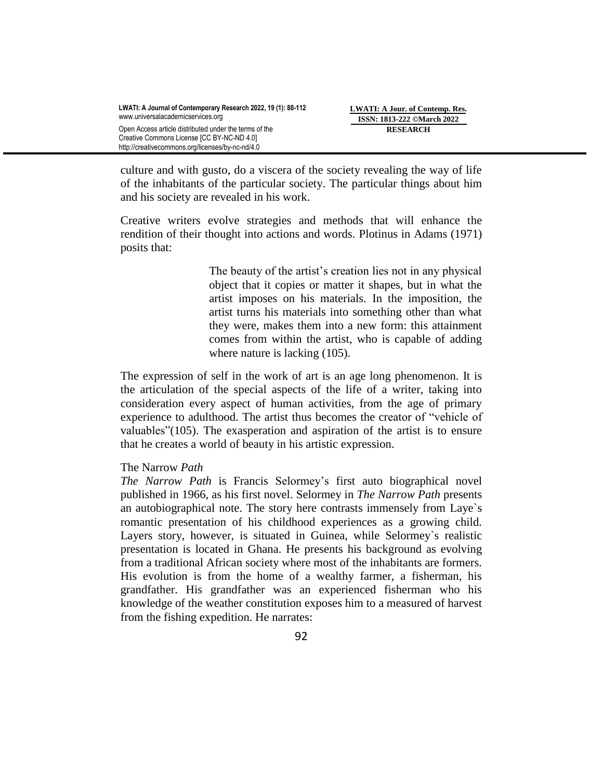culture and with gusto, do a viscera of the society revealing the way of life of the inhabitants of the particular society. The particular things about him and his society are revealed in his work.

Creative writers evolve strategies and methods that will enhance the rendition of their thought into actions and words. Plotinus in Adams (1971) posits that:

> The beauty of the artist's creation lies not in any physical object that it copies or matter it shapes, but in what the artist imposes on his materials. In the imposition, the artist turns his materials into something other than what they were, makes them into a new form: this attainment comes from within the artist, who is capable of adding where nature is lacking  $(105)$ .

The expression of self in the work of art is an age long phenomenon. It is the articulation of the special aspects of the life of a writer, taking into consideration every aspect of human activities, from the age of primary experience to adulthood. The artist thus becomes the creator of "vehicle of valuables"(105). The exasperation and aspiration of the artist is to ensure that he creates a world of beauty in his artistic expression.

## The Narrow *Path*

*The Narrow Path* is Francis Selormey"s first auto biographical novel published in 1966, as his first novel. Selormey in *The Narrow Path* presents an autobiographical note. The story here contrasts immensely from Laye`s romantic presentation of his childhood experiences as a growing child. Layers story, however, is situated in Guinea, while Selormey`s realistic presentation is located in Ghana. He presents his background as evolving from a traditional African society where most of the inhabitants are formers. His evolution is from the home of a wealthy farmer, a fisherman, his grandfather. His grandfather was an experienced fisherman who his knowledge of the weather constitution exposes him to a measured of harvest from the fishing expedition. He narrates: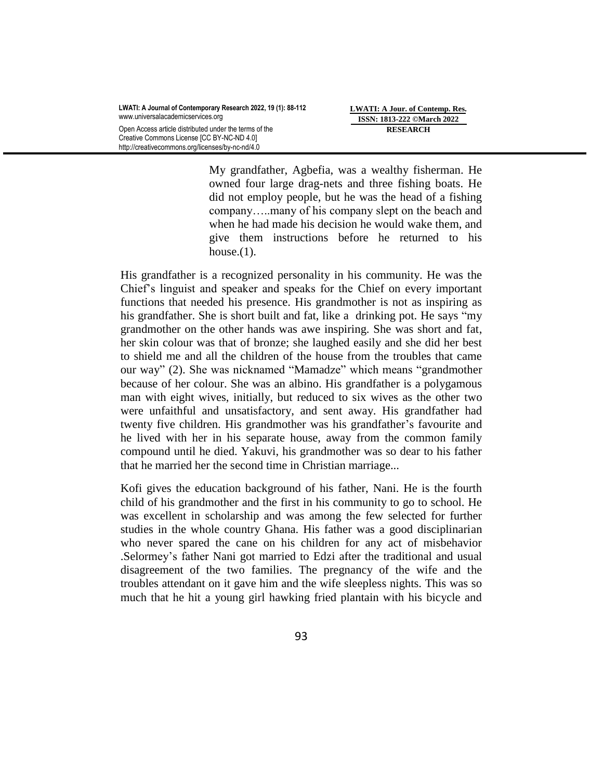**LWATI: A Jour. of Contemp. Res. ISSN: 1813-222 ©March 2022 RESEARCH**

My grandfather, Agbefia, was a wealthy fisherman. He owned four large drag-nets and three fishing boats. He did not employ people, but he was the head of a fishing company…..many of his company slept on the beach and when he had made his decision he would wake them, and give them instructions before he returned to his house. $(1)$ .

His grandfather is a recognized personality in his community. He was the Chief"s linguist and speaker and speaks for the Chief on every important functions that needed his presence. His grandmother is not as inspiring as his grandfather. She is short built and fat, like a drinking pot. He says "my grandmother on the other hands was awe inspiring. She was short and fat, her skin colour was that of bronze; she laughed easily and she did her best to shield me and all the children of the house from the troubles that came our way" (2). She was nicknamed "Mamadze" which means "grandmother because of her colour. She was an albino. His grandfather is a polygamous man with eight wives, initially, but reduced to six wives as the other two were unfaithful and unsatisfactory, and sent away. His grandfather had twenty five children. His grandmother was his grandfather"s favourite and he lived with her in his separate house, away from the common family compound until he died. Yakuvi, his grandmother was so dear to his father that he married her the second time in Christian marriage...

Kofi gives the education background of his father, Nani. He is the fourth child of his grandmother and the first in his community to go to school. He was excellent in scholarship and was among the few selected for further studies in the whole country Ghana. His father was a good disciplinarian who never spared the cane on his children for any act of misbehavior .Selormey"s father Nani got married to Edzi after the traditional and usual disagreement of the two families. The pregnancy of the wife and the troubles attendant on it gave him and the wife sleepless nights. This was so much that he hit a young girl hawking fried plantain with his bicycle and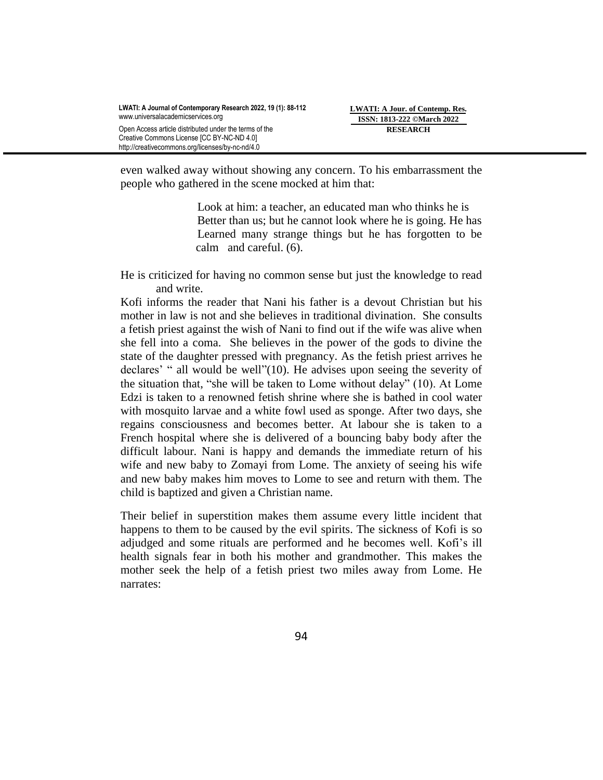even walked away without showing any concern. To his embarrassment the people who gathered in the scene mocked at him that:

> Look at him: a teacher, an educated man who thinks he is Better than us; but he cannot look where he is going. He has Learned many strange things but he has forgotten to be calm and careful. (6).

He is criticized for having no common sense but just the knowledge to read and write.

Kofi informs the reader that Nani his father is a devout Christian but his mother in law is not and she believes in traditional divination. She consults a fetish priest against the wish of Nani to find out if the wife was alive when she fell into a coma. She believes in the power of the gods to divine the state of the daughter pressed with pregnancy. As the fetish priest arrives he declares' " all would be well"(10). He advises upon seeing the severity of the situation that, "she will be taken to Lome without delay" (10). At Lome Edzi is taken to a renowned fetish shrine where she is bathed in cool water with mosquito larvae and a white fowl used as sponge. After two days, she regains consciousness and becomes better. At labour she is taken to a French hospital where she is delivered of a bouncing baby body after the difficult labour. Nani is happy and demands the immediate return of his wife and new baby to Zomayi from Lome. The anxiety of seeing his wife and new baby makes him moves to Lome to see and return with them. The child is baptized and given a Christian name.

Their belief in superstition makes them assume every little incident that happens to them to be caused by the evil spirits. The sickness of Kofi is so adjudged and some rituals are performed and he becomes well. Kofi"s ill health signals fear in both his mother and grandmother. This makes the mother seek the help of a fetish priest two miles away from Lome. He narrates: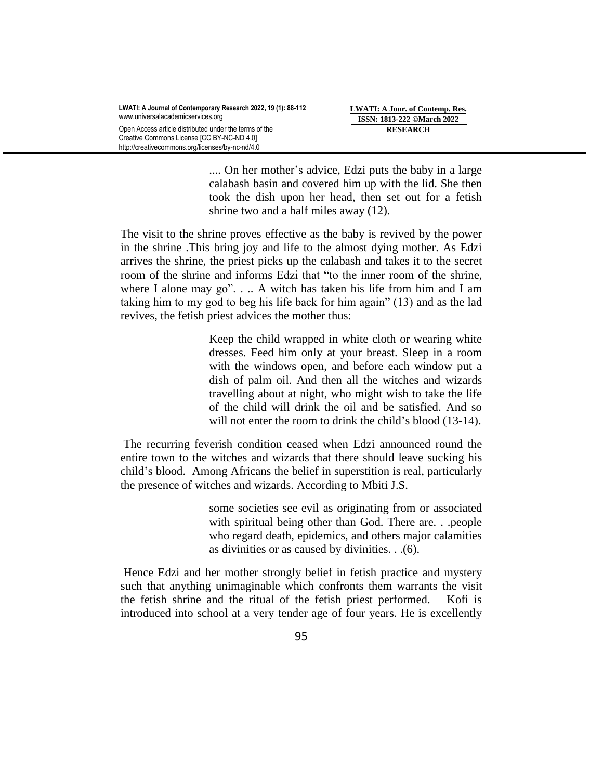.... On her mother's advice, Edzi puts the baby in a large calabash basin and covered him up with the lid. She then took the dish upon her head, then set out for a fetish shrine two and a half miles away (12).

The visit to the shrine proves effective as the baby is revived by the power in the shrine .This bring joy and life to the almost dying mother. As Edzi arrives the shrine, the priest picks up the calabash and takes it to the secret room of the shrine and informs Edzi that "to the inner room of the shrine, where I alone may go". . .. A witch has taken his life from him and I am taking him to my god to beg his life back for him again" (13) and as the lad revives, the fetish priest advices the mother thus:

> Keep the child wrapped in white cloth or wearing white dresses. Feed him only at your breast. Sleep in a room with the windows open, and before each window put a dish of palm oil. And then all the witches and wizards travelling about at night, who might wish to take the life of the child will drink the oil and be satisfied. And so will not enter the room to drink the child's blood (13-14).

The recurring feverish condition ceased when Edzi announced round the entire town to the witches and wizards that there should leave sucking his child"s blood. Among Africans the belief in superstition is real, particularly the presence of witches and wizards. According to Mbiti J.S.

> some societies see evil as originating from or associated with spiritual being other than God. There are. . .people who regard death, epidemics, and others major calamities as divinities or as caused by divinities. . .(6).

Hence Edzi and her mother strongly belief in fetish practice and mystery such that anything unimaginable which confronts them warrants the visit the fetish shrine and the ritual of the fetish priest performed. Kofi is introduced into school at a very tender age of four years. He is excellently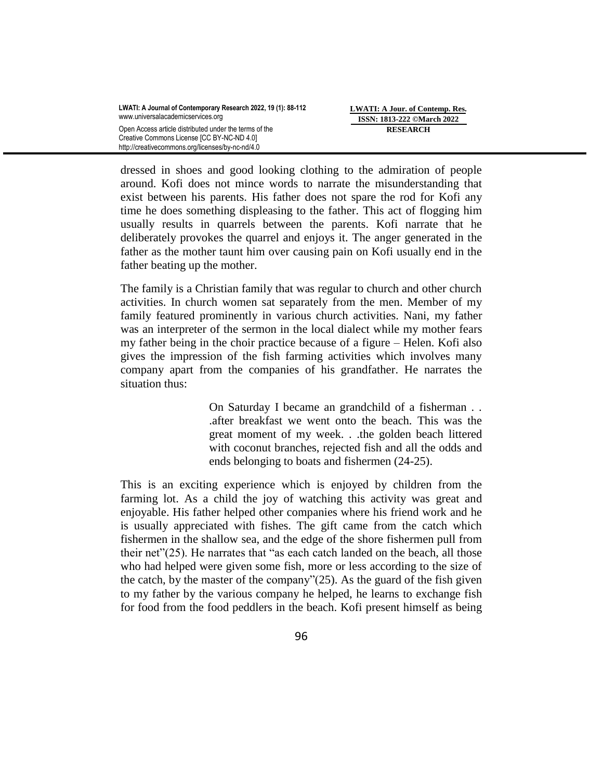dressed in shoes and good looking clothing to the admiration of people around. Kofi does not mince words to narrate the misunderstanding that exist between his parents. His father does not spare the rod for Kofi any time he does something displeasing to the father. This act of flogging him usually results in quarrels between the parents. Kofi narrate that he deliberately provokes the quarrel and enjoys it. The anger generated in the father as the mother taunt him over causing pain on Kofi usually end in the father beating up the mother.

The family is a Christian family that was regular to church and other church activities. In church women sat separately from the men. Member of my family featured prominently in various church activities. Nani, my father was an interpreter of the sermon in the local dialect while my mother fears my father being in the choir practice because of a figure – Helen. Kofi also gives the impression of the fish farming activities which involves many company apart from the companies of his grandfather. He narrates the situation thus:

> On Saturday I became an grandchild of a fisherman . . .after breakfast we went onto the beach. This was the great moment of my week. . .the golden beach littered with coconut branches, rejected fish and all the odds and ends belonging to boats and fishermen (24-25).

This is an exciting experience which is enjoyed by children from the farming lot. As a child the joy of watching this activity was great and enjoyable. His father helped other companies where his friend work and he is usually appreciated with fishes. The gift came from the catch which fishermen in the shallow sea, and the edge of the shore fishermen pull from their net"(25). He narrates that "as each catch landed on the beach, all those who had helped were given some fish, more or less according to the size of the catch, by the master of the company" $(25)$ . As the guard of the fish given to my father by the various company he helped, he learns to exchange fish for food from the food peddlers in the beach. Kofi present himself as being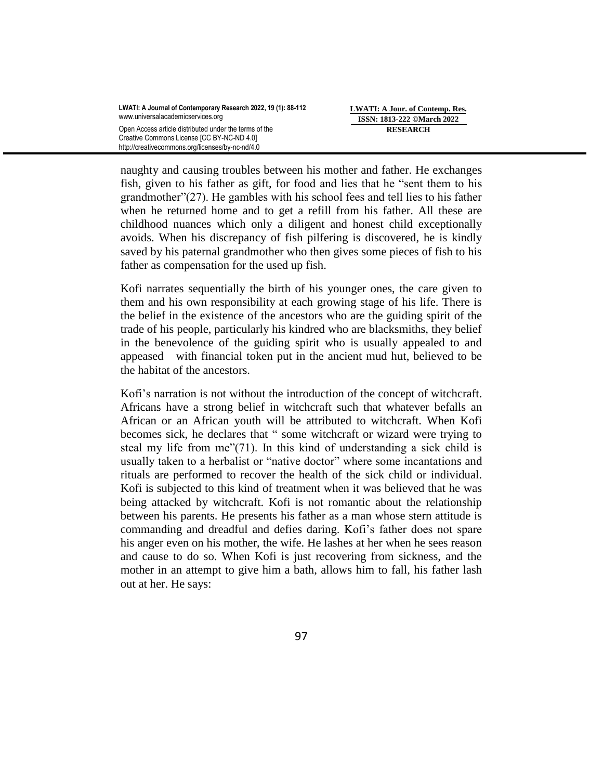naughty and causing troubles between his mother and father. He exchanges fish, given to his father as gift, for food and lies that he "sent them to his grandmother"(27). He gambles with his school fees and tell lies to his father when he returned home and to get a refill from his father. All these are childhood nuances which only a diligent and honest child exceptionally avoids. When his discrepancy of fish pilfering is discovered, he is kindly saved by his paternal grandmother who then gives some pieces of fish to his father as compensation for the used up fish.

Kofi narrates sequentially the birth of his younger ones, the care given to them and his own responsibility at each growing stage of his life. There is the belief in the existence of the ancestors who are the guiding spirit of the trade of his people, particularly his kindred who are blacksmiths, they belief in the benevolence of the guiding spirit who is usually appealed to and appeased with financial token put in the ancient mud hut, believed to be the habitat of the ancestors.

Kofi's narration is not without the introduction of the concept of witchcraft. Africans have a strong belief in witchcraft such that whatever befalls an African or an African youth will be attributed to witchcraft. When Kofi becomes sick, he declares that " some witchcraft or wizard were trying to steal my life from me"(71). In this kind of understanding a sick child is usually taken to a herbalist or "native doctor" where some incantations and rituals are performed to recover the health of the sick child or individual. Kofi is subjected to this kind of treatment when it was believed that he was being attacked by witchcraft. Kofi is not romantic about the relationship between his parents. He presents his father as a man whose stern attitude is commanding and dreadful and defies daring. Kofi"s father does not spare his anger even on his mother, the wife. He lashes at her when he sees reason and cause to do so. When Kofi is just recovering from sickness, and the mother in an attempt to give him a bath, allows him to fall, his father lash out at her. He says: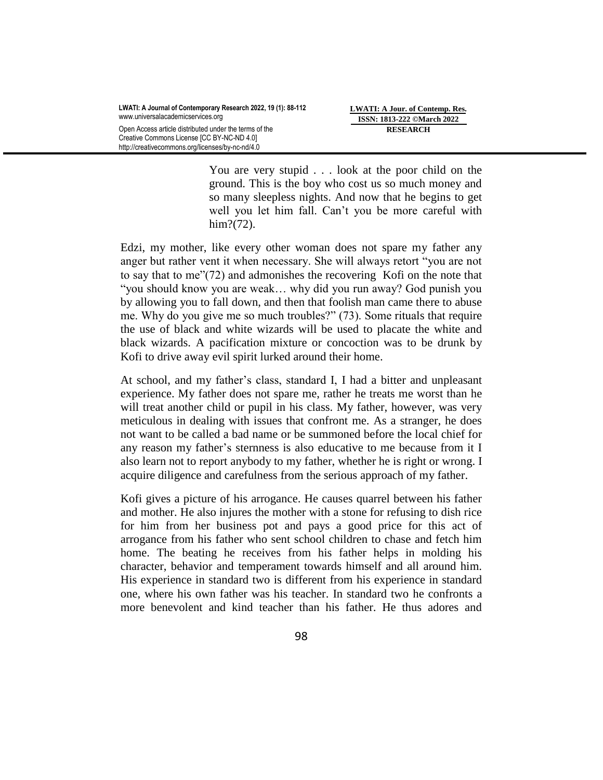You are very stupid . . . look at the poor child on the ground. This is the boy who cost us so much money and so many sleepless nights. And now that he begins to get well you let him fall. Can"t you be more careful with him?(72).

Edzi, my mother, like every other woman does not spare my father any anger but rather vent it when necessary. She will always retort "you are not to say that to me"(72) and admonishes the recovering Kofi on the note that "you should know you are weak… why did you run away? God punish you by allowing you to fall down, and then that foolish man came there to abuse me. Why do you give me so much troubles?" (73). Some rituals that require the use of black and white wizards will be used to placate the white and black wizards. A pacification mixture or concoction was to be drunk by Kofi to drive away evil spirit lurked around their home.

At school, and my father"s class, standard I, I had a bitter and unpleasant experience. My father does not spare me, rather he treats me worst than he will treat another child or pupil in his class. My father, however, was very meticulous in dealing with issues that confront me. As a stranger, he does not want to be called a bad name or be summoned before the local chief for any reason my father"s sternness is also educative to me because from it I also learn not to report anybody to my father, whether he is right or wrong. I acquire diligence and carefulness from the serious approach of my father.

Kofi gives a picture of his arrogance. He causes quarrel between his father and mother. He also injures the mother with a stone for refusing to dish rice for him from her business pot and pays a good price for this act of arrogance from his father who sent school children to chase and fetch him home. The beating he receives from his father helps in molding his character, behavior and temperament towards himself and all around him. His experience in standard two is different from his experience in standard one, where his own father was his teacher. In standard two he confronts a more benevolent and kind teacher than his father. He thus adores and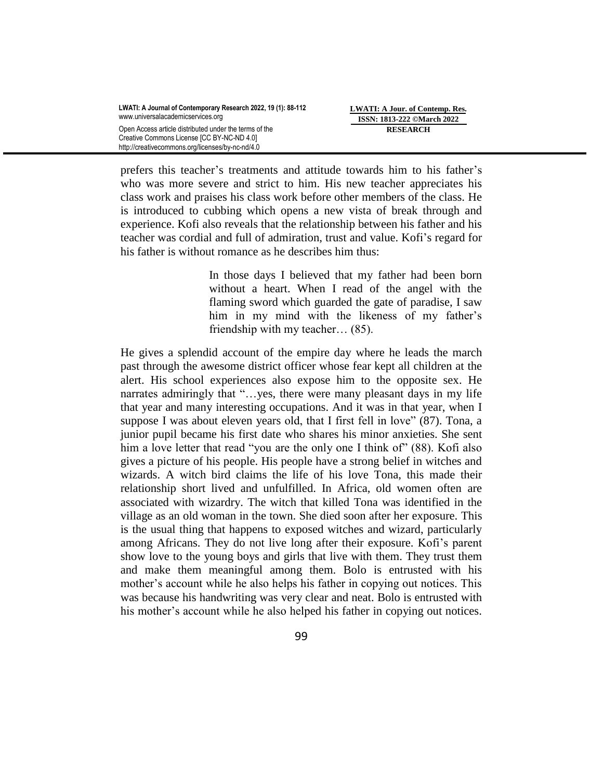prefers this teacher"s treatments and attitude towards him to his father"s who was more severe and strict to him. His new teacher appreciates his class work and praises his class work before other members of the class. He is introduced to cubbing which opens a new vista of break through and experience. Kofi also reveals that the relationship between his father and his teacher was cordial and full of admiration, trust and value. Kofi"s regard for his father is without romance as he describes him thus:

> In those days I believed that my father had been born without a heart. When I read of the angel with the flaming sword which guarded the gate of paradise, I saw him in my mind with the likeness of my father's friendship with my teacher… (85).

He gives a splendid account of the empire day where he leads the march past through the awesome district officer whose fear kept all children at the alert. His school experiences also expose him to the opposite sex. He narrates admiringly that "…yes, there were many pleasant days in my life that year and many interesting occupations. And it was in that year, when I suppose I was about eleven years old, that I first fell in love" (87). Tona, a junior pupil became his first date who shares his minor anxieties. She sent him a love letter that read "you are the only one I think of" (88). Kofi also gives a picture of his people. His people have a strong belief in witches and wizards. A witch bird claims the life of his love Tona, this made their relationship short lived and unfulfilled. In Africa, old women often are associated with wizardry. The witch that killed Tona was identified in the village as an old woman in the town. She died soon after her exposure. This is the usual thing that happens to exposed witches and wizard, particularly among Africans. They do not live long after their exposure. Kofi"s parent show love to the young boys and girls that live with them. They trust them and make them meaningful among them. Bolo is entrusted with his mother's account while he also helps his father in copying out notices. This was because his handwriting was very clear and neat. Bolo is entrusted with his mother's account while he also helped his father in copying out notices.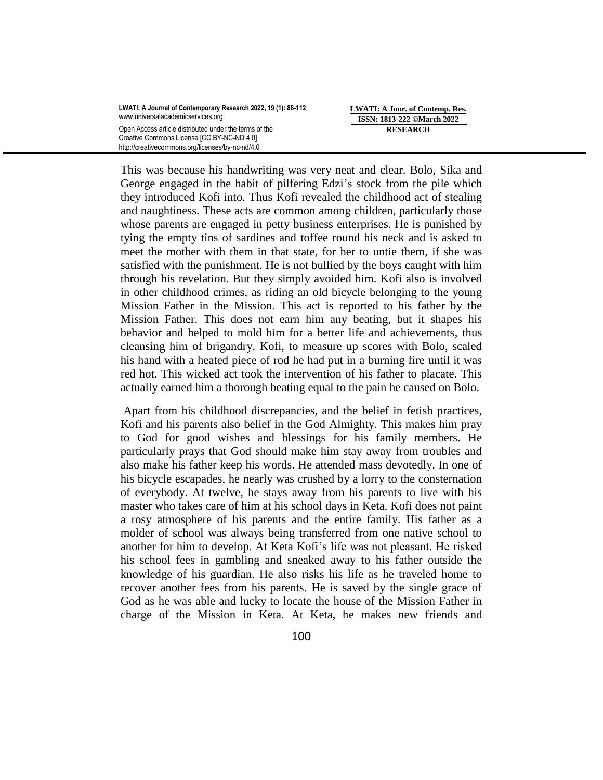**LWATI: A Jour. of Contemp. Res. ISSN: 1813-222 ©March 2022 RESEARCH**

This was because his handwriting was very neat and clear. Bolo, Sika and George engaged in the habit of pilfering Edzi"s stock from the pile which they introduced Kofi into. Thus Kofi revealed the childhood act of stealing and naughtiness. These acts are common among children, particularly those whose parents are engaged in petty business enterprises. He is punished by tying the empty tins of sardines and toffee round his neck and is asked to meet the mother with them in that state, for her to untie them, if she was satisfied with the punishment. He is not bullied by the boys caught with him through his revelation. But they simply avoided him. Kofi also is involved in other childhood crimes, as riding an old bicycle belonging to the young Mission Father in the Mission. This act is reported to his father by the Mission Father. This does not earn him any beating, but it shapes his behavior and helped to mold him for a better life and achievements, thus cleansing him of brigandry. Kofi, to measure up scores with Bolo, scaled his hand with a heated piece of rod he had put in a burning fire until it was red hot. This wicked act took the intervention of his father to placate. This actually earned him a thorough beating equal to the pain he caused on Bolo.

Apart from his childhood discrepancies, and the belief in fetish practices, Kofi and his parents also belief in the God Almighty. This makes him pray to God for good wishes and blessings for his family members. He particularly prays that God should make him stay away from troubles and also make his father keep his words. He attended mass devotedly. In one of his bicycle escapades, he nearly was crushed by a lorry to the consternation of everybody. At twelve, he stays away from his parents to live with his master who takes care of him at his school days in Keta. Kofi does not paint a rosy atmosphere of his parents and the entire family. His father as a molder of school was always being transferred from one native school to another for him to develop. At Keta Kofi"s life was not pleasant. He risked his school fees in gambling and sneaked away to his father outside the knowledge of his guardian. He also risks his life as he traveled home to recover another fees from his parents. He is saved by the single grace of God as he was able and lucky to locate the house of the Mission Father in charge of the Mission in Keta. At Keta, he makes new friends and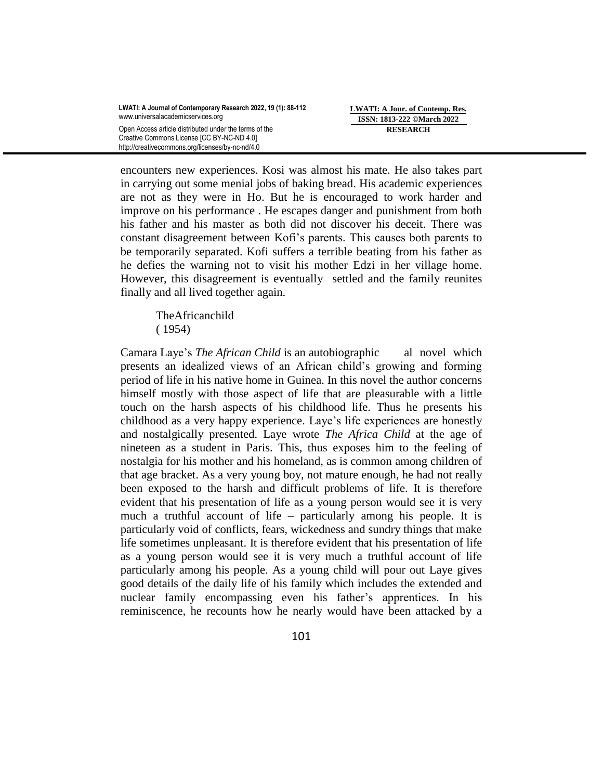encounters new experiences. Kosi was almost his mate. He also takes part in carrying out some menial jobs of baking bread. His academic experiences are not as they were in Ho. But he is encouraged to work harder and improve on his performance . He escapes danger and punishment from both his father and his master as both did not discover his deceit. There was constant disagreement between Kofi"s parents. This causes both parents to be temporarily separated. Kofi suffers a terrible beating from his father as he defies the warning not to visit his mother Edzi in her village home. However, this disagreement is eventually settled and the family reunites finally and all lived together again.

 TheAfricanchild ( 1954)

Camara Laye"s *The African Child* is an autobiographic al novel which presents an idealized views of an African child"s growing and forming period of life in his native home in Guinea. In this novel the author concerns himself mostly with those aspect of life that are pleasurable with a little touch on the harsh aspects of his childhood life. Thus he presents his childhood as a very happy experience. Laye"s life experiences are honestly and nostalgically presented. Laye wrote *The Africa Child* at the age of nineteen as a student in Paris. This, thus exposes him to the feeling of nostalgia for his mother and his homeland, as is common among children of that age bracket. As a very young boy, not mature enough, he had not really been exposed to the harsh and difficult problems of life. It is therefore evident that his presentation of life as a young person would see it is very much a truthful account of life – particularly among his people. It is particularly void of conflicts, fears, wickedness and sundry things that make life sometimes unpleasant. It is therefore evident that his presentation of life as a young person would see it is very much a truthful account of life particularly among his people. As a young child will pour out Laye gives good details of the daily life of his family which includes the extended and nuclear family encompassing even his father"s apprentices. In his reminiscence, he recounts how he nearly would have been attacked by a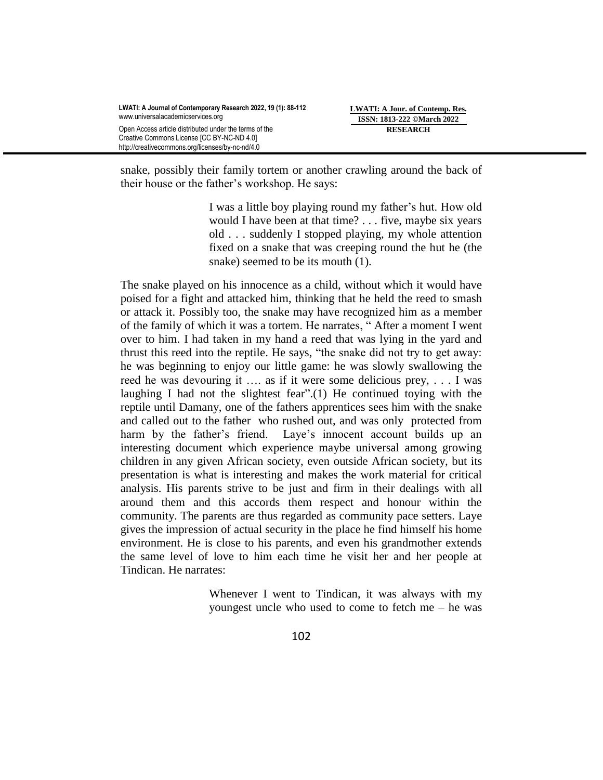snake, possibly their family tortem or another crawling around the back of their house or the father"s workshop. He says:

> I was a little boy playing round my father"s hut. How old would I have been at that time? . . . five, maybe six years old . . . suddenly I stopped playing, my whole attention fixed on a snake that was creeping round the hut he (the snake) seemed to be its mouth (1).

The snake played on his innocence as a child, without which it would have poised for a fight and attacked him, thinking that he held the reed to smash or attack it. Possibly too, the snake may have recognized him as a member of the family of which it was a tortem. He narrates, " After a moment I went over to him. I had taken in my hand a reed that was lying in the yard and thrust this reed into the reptile. He says, "the snake did not try to get away: he was beginning to enjoy our little game: he was slowly swallowing the reed he was devouring it …. as if it were some delicious prey, . . . I was laughing I had not the slightest fear".(1) He continued toying with the reptile until Damany, one of the fathers apprentices sees him with the snake and called out to the father who rushed out, and was only protected from harm by the father's friend. Laye's innocent account builds up an interesting document which experience maybe universal among growing children in any given African society, even outside African society, but its presentation is what is interesting and makes the work material for critical analysis. His parents strive to be just and firm in their dealings with all around them and this accords them respect and honour within the community. The parents are thus regarded as community pace setters. Laye gives the impression of actual security in the place he find himself his home environment. He is close to his parents, and even his grandmother extends the same level of love to him each time he visit her and her people at Tindican. He narrates:

> Whenever I went to Tindican, it was always with my youngest uncle who used to come to fetch me – he was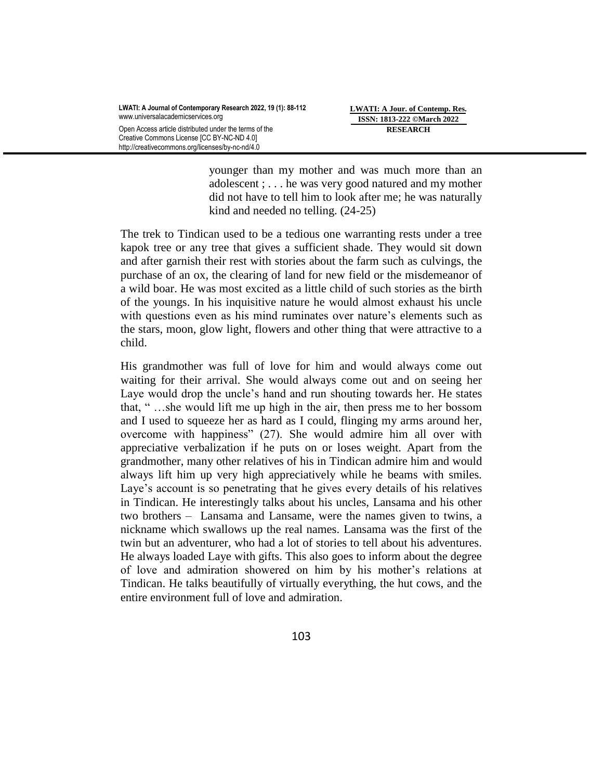younger than my mother and was much more than an adolescent ; . . . he was very good natured and my mother did not have to tell him to look after me; he was naturally kind and needed no telling. (24-25)

The trek to Tindican used to be a tedious one warranting rests under a tree kapok tree or any tree that gives a sufficient shade. They would sit down and after garnish their rest with stories about the farm such as culvings, the purchase of an ox, the clearing of land for new field or the misdemeanor of a wild boar. He was most excited as a little child of such stories as the birth of the youngs. In his inquisitive nature he would almost exhaust his uncle with questions even as his mind ruminates over nature's elements such as the stars, moon, glow light, flowers and other thing that were attractive to a child.

His grandmother was full of love for him and would always come out waiting for their arrival. She would always come out and on seeing her Laye would drop the uncle"s hand and run shouting towards her. He states that, " …she would lift me up high in the air, then press me to her bossom and I used to squeeze her as hard as I could, flinging my arms around her, overcome with happiness" (27). She would admire him all over with appreciative verbalization if he puts on or loses weight. Apart from the grandmother, many other relatives of his in Tindican admire him and would always lift him up very high appreciatively while he beams with smiles. Laye's account is so penetrating that he gives every details of his relatives in Tindican. He interestingly talks about his uncles, Lansama and his other two brothers – Lansama and Lansame, were the names given to twins, a nickname which swallows up the real names. Lansama was the first of the twin but an adventurer, who had a lot of stories to tell about his adventures. He always loaded Laye with gifts. This also goes to inform about the degree of love and admiration showered on him by his mother"s relations at Tindican. He talks beautifully of virtually everything, the hut cows, and the entire environment full of love and admiration.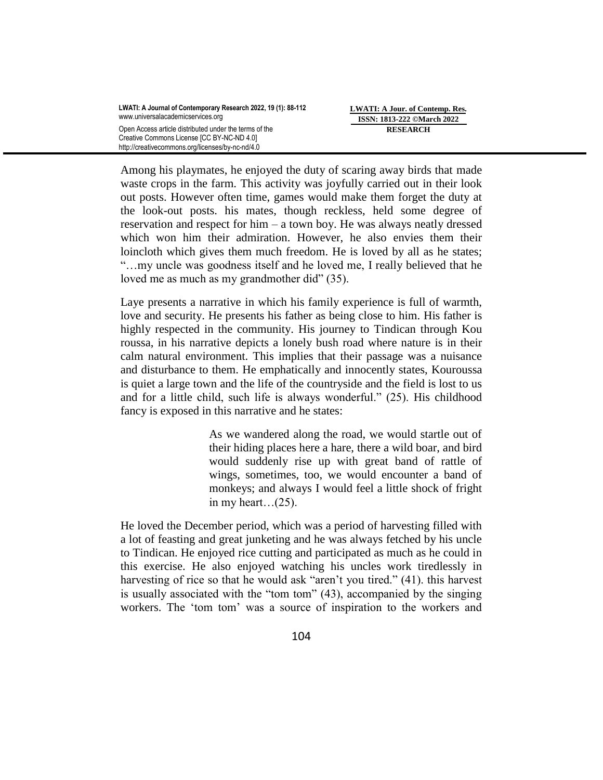Among his playmates, he enjoyed the duty of scaring away birds that made waste crops in the farm. This activity was joyfully carried out in their look out posts. However often time, games would make them forget the duty at the look-out posts. his mates, though reckless, held some degree of reservation and respect for him – a town boy. He was always neatly dressed which won him their admiration. However, he also envies them their loincloth which gives them much freedom. He is loved by all as he states; "…my uncle was goodness itself and he loved me, I really believed that he loved me as much as my grandmother did" (35).

Laye presents a narrative in which his family experience is full of warmth, love and security. He presents his father as being close to him. His father is highly respected in the community. His journey to Tindican through Kou roussa, in his narrative depicts a lonely bush road where nature is in their calm natural environment. This implies that their passage was a nuisance and disturbance to them. He emphatically and innocently states, Kouroussa is quiet a large town and the life of the countryside and the field is lost to us and for a little child, such life is always wonderful." (25). His childhood fancy is exposed in this narrative and he states:

> As we wandered along the road, we would startle out of their hiding places here a hare, there a wild boar, and bird would suddenly rise up with great band of rattle of wings, sometimes, too, we would encounter a band of monkeys; and always I would feel a little shock of fright in my heart…(25).

He loved the December period, which was a period of harvesting filled with a lot of feasting and great junketing and he was always fetched by his uncle to Tindican. He enjoyed rice cutting and participated as much as he could in this exercise. He also enjoyed watching his uncles work tiredlessly in harvesting of rice so that he would ask "aren't you tired." (41). this harvest is usually associated with the "tom tom" (43), accompanied by the singing workers. The "tom tom" was a source of inspiration to the workers and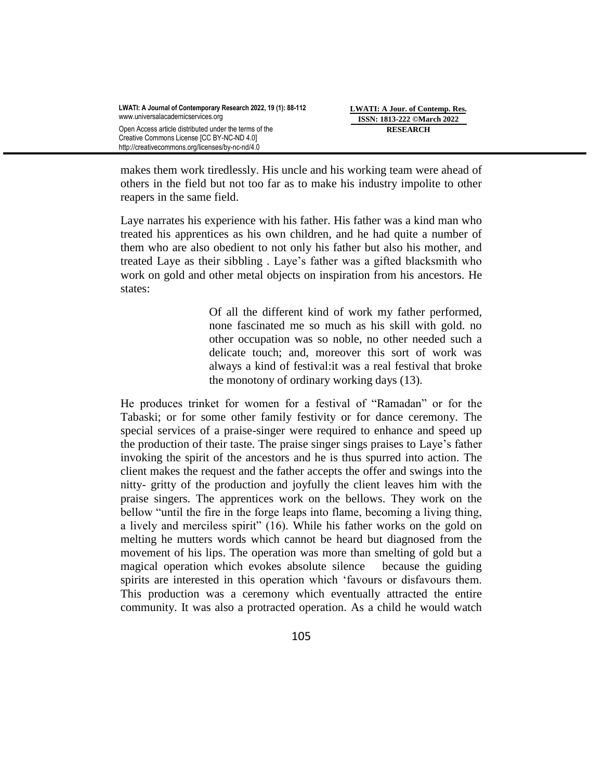**LWATI: A Jour. of Contemp. Res. ISSN: 1813-222 ©March 2022 RESEARCH**

makes them work tiredlessly. His uncle and his working team were ahead of others in the field but not too far as to make his industry impolite to other reapers in the same field.

Laye narrates his experience with his father. His father was a kind man who treated his apprentices as his own children, and he had quite a number of them who are also obedient to not only his father but also his mother, and treated Laye as their sibbling . Laye"s father was a gifted blacksmith who work on gold and other metal objects on inspiration from his ancestors. He states:

> Of all the different kind of work my father performed, none fascinated me so much as his skill with gold. no other occupation was so noble, no other needed such a delicate touch; and, moreover this sort of work was always a kind of festival:it was a real festival that broke the monotony of ordinary working days (13).

He produces trinket for women for a festival of "Ramadan" or for the Tabaski; or for some other family festivity or for dance ceremony. The special services of a praise-singer were required to enhance and speed up the production of their taste. The praise singer sings praises to Laye"s father invoking the spirit of the ancestors and he is thus spurred into action. The client makes the request and the father accepts the offer and swings into the nitty- gritty of the production and joyfully the client leaves him with the praise singers. The apprentices work on the bellows. They work on the bellow "until the fire in the forge leaps into flame, becoming a living thing, a lively and merciless spirit" (16). While his father works on the gold on melting he mutters words which cannot be heard but diagnosed from the movement of his lips. The operation was more than smelting of gold but a magical operation which evokes absolute silence because the guiding spirits are interested in this operation which "favours or disfavours them. This production was a ceremony which eventually attracted the entire community. It was also a protracted operation. As a child he would watch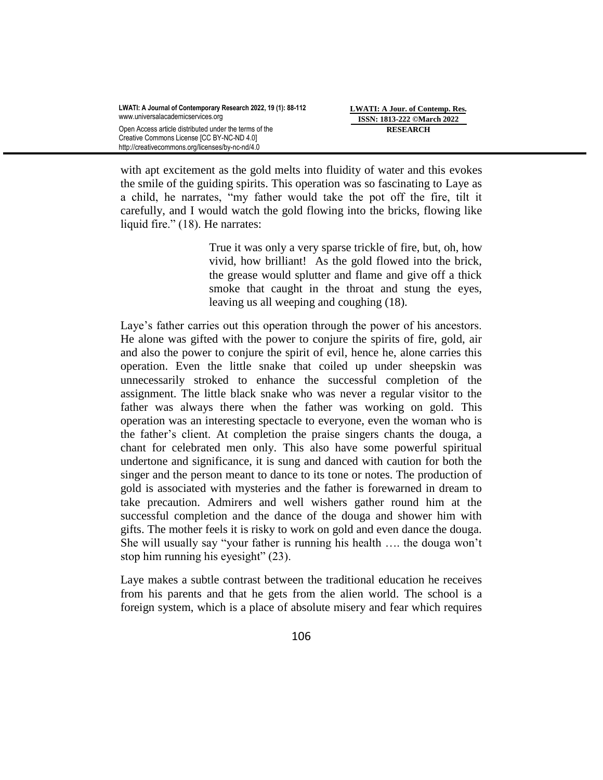with apt excitement as the gold melts into fluidity of water and this evokes the smile of the guiding spirits. This operation was so fascinating to Laye as a child, he narrates, "my father would take the pot off the fire, tilt it carefully, and I would watch the gold flowing into the bricks, flowing like liquid fire." (18). He narrates:

> True it was only a very sparse trickle of fire, but, oh, how vivid, how brilliant! As the gold flowed into the brick, the grease would splutter and flame and give off a thick smoke that caught in the throat and stung the eyes, leaving us all weeping and coughing (18).

Laye's father carries out this operation through the power of his ancestors. He alone was gifted with the power to conjure the spirits of fire, gold, air and also the power to conjure the spirit of evil, hence he, alone carries this operation. Even the little snake that coiled up under sheepskin was unnecessarily stroked to enhance the successful completion of the assignment. The little black snake who was never a regular visitor to the father was always there when the father was working on gold. This operation was an interesting spectacle to everyone, even the woman who is the father"s client. At completion the praise singers chants the douga, a chant for celebrated men only. This also have some powerful spiritual undertone and significance, it is sung and danced with caution for both the singer and the person meant to dance to its tone or notes. The production of gold is associated with mysteries and the father is forewarned in dream to take precaution. Admirers and well wishers gather round him at the successful completion and the dance of the douga and shower him with gifts. The mother feels it is risky to work on gold and even dance the douga. She will usually say "your father is running his health …. the douga won"t stop him running his eyesight" (23).

Laye makes a subtle contrast between the traditional education he receives from his parents and that he gets from the alien world. The school is a foreign system, which is a place of absolute misery and fear which requires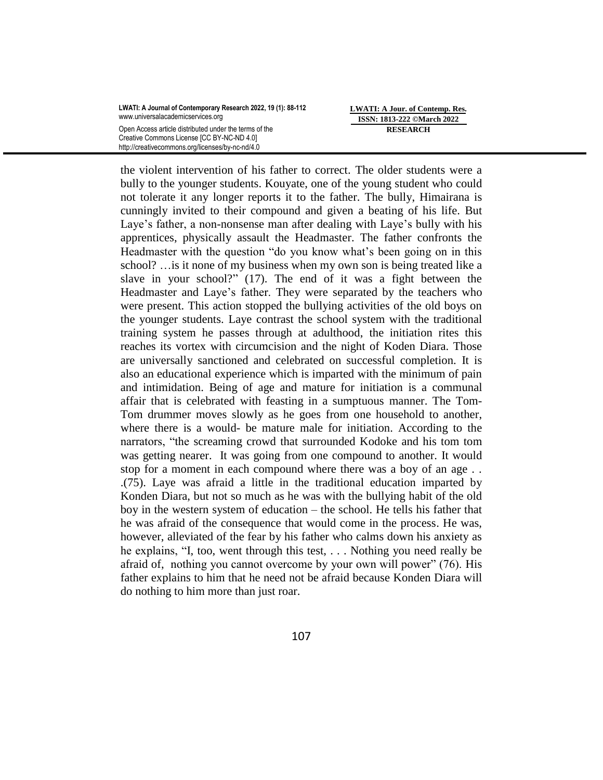**LWATI: A Jour. of Contemp. Res. ISSN: 1813-222 ©March 2022 RESEARCH**

the violent intervention of his father to correct. The older students were a bully to the younger students. Kouyate, one of the young student who could not tolerate it any longer reports it to the father. The bully, Himairana is cunningly invited to their compound and given a beating of his life. But Laye's father, a non-nonsense man after dealing with Laye's bully with his apprentices, physically assault the Headmaster. The father confronts the Headmaster with the question "do you know what's been going on in this school? …is it none of my business when my own son is being treated like a slave in your school?" (17). The end of it was a fight between the Headmaster and Laye's father. They were separated by the teachers who were present. This action stopped the bullying activities of the old boys on the younger students. Laye contrast the school system with the traditional training system he passes through at adulthood, the initiation rites this reaches its vortex with circumcision and the night of Koden Diara. Those are universally sanctioned and celebrated on successful completion. It is also an educational experience which is imparted with the minimum of pain and intimidation. Being of age and mature for initiation is a communal affair that is celebrated with feasting in a sumptuous manner. The Tom-Tom drummer moves slowly as he goes from one household to another, where there is a would- be mature male for initiation. According to the narrators, "the screaming crowd that surrounded Kodoke and his tom tom was getting nearer. It was going from one compound to another. It would stop for a moment in each compound where there was a boy of an age . . .(75). Laye was afraid a little in the traditional education imparted by Konden Diara, but not so much as he was with the bullying habit of the old boy in the western system of education – the school. He tells his father that he was afraid of the consequence that would come in the process. He was, however, alleviated of the fear by his father who calms down his anxiety as he explains, "I, too, went through this test, . . . Nothing you need really be afraid of, nothing you cannot overcome by your own will power" (76). His father explains to him that he need not be afraid because Konden Diara will do nothing to him more than just roar.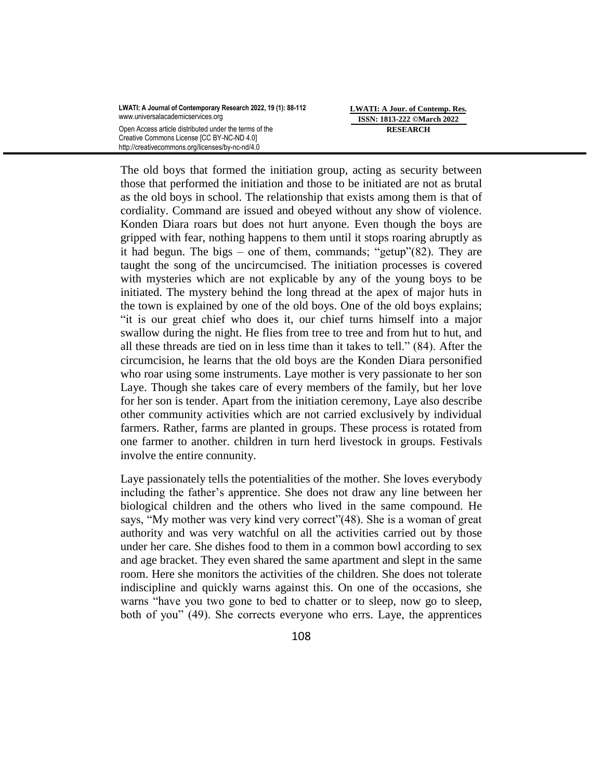**LWATI: A Jour. of Contemp. Res. ISSN: 1813-222 ©March 2022 RESEARCH**

The old boys that formed the initiation group, acting as security between those that performed the initiation and those to be initiated are not as brutal as the old boys in school. The relationship that exists among them is that of cordiality. Command are issued and obeyed without any show of violence. Konden Diara roars but does not hurt anyone. Even though the boys are gripped with fear, nothing happens to them until it stops roaring abruptly as it had begun. The bigs – one of them, commands; "getup"(82). They are taught the song of the uncircumcised. The initiation processes is covered with mysteries which are not explicable by any of the young boys to be initiated. The mystery behind the long thread at the apex of major huts in the town is explained by one of the old boys. One of the old boys explains; "it is our great chief who does it, our chief turns himself into a major swallow during the night. He flies from tree to tree and from hut to hut, and all these threads are tied on in less time than it takes to tell." (84). After the circumcision, he learns that the old boys are the Konden Diara personified who roar using some instruments. Laye mother is very passionate to her son Laye. Though she takes care of every members of the family, but her love for her son is tender. Apart from the initiation ceremony, Laye also describe other community activities which are not carried exclusively by individual farmers. Rather, farms are planted in groups. These process is rotated from one farmer to another. children in turn herd livestock in groups. Festivals involve the entire connunity.

Laye passionately tells the potentialities of the mother. She loves everybody including the father"s apprentice. She does not draw any line between her biological children and the others who lived in the same compound. He says, "My mother was very kind very correct" (48). She is a woman of great authority and was very watchful on all the activities carried out by those under her care. She dishes food to them in a common bowl according to sex and age bracket. They even shared the same apartment and slept in the same room. Here she monitors the activities of the children. She does not tolerate indiscipline and quickly warns against this. On one of the occasions, she warns "have you two gone to bed to chatter or to sleep, now go to sleep, both of you" (49). She corrects everyone who errs. Laye, the apprentices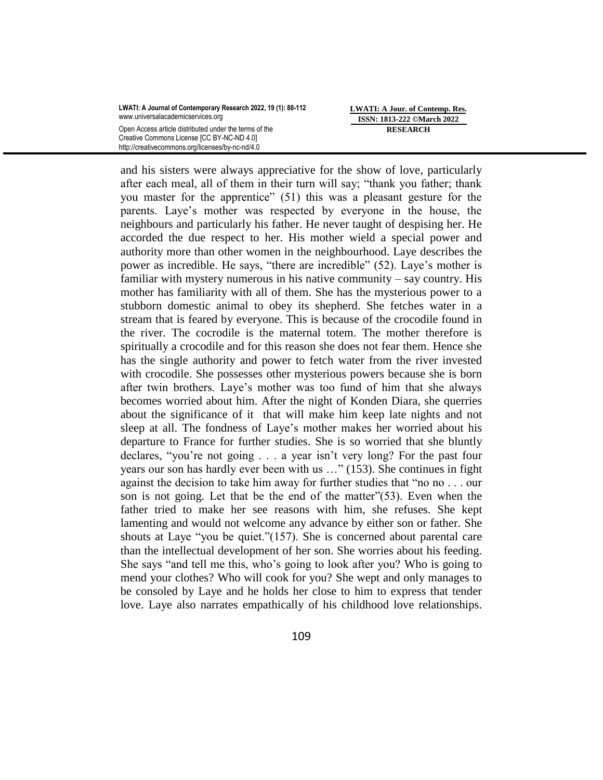**LWATI: A Jour. of Contemp. Res. ISSN: 1813-222 ©March 2022 RESEARCH**

and his sisters were always appreciative for the show of love, particularly after each meal, all of them in their turn will say; "thank you father; thank you master for the apprentice" (51) this was a pleasant gesture for the parents. Laye"s mother was respected by everyone in the house, the neighbours and particularly his father. He never taught of despising her. He accorded the due respect to her. His mother wield a special power and authority more than other women in the neighbourhood. Laye describes the power as incredible. He says, "there are incredible" (52). Laye"s mother is familiar with mystery numerous in his native community – say country. His mother has familiarity with all of them. She has the mysterious power to a stubborn domestic animal to obey its shepherd. She fetches water in a stream that is feared by everyone. This is because of the crocodile found in the river. The cocrodile is the maternal totem. The mother therefore is spiritually a crocodile and for this reason she does not fear them. Hence she has the single authority and power to fetch water from the river invested with crocodile. She possesses other mysterious powers because she is born after twin brothers. Laye"s mother was too fund of him that she always becomes worried about him. After the night of Konden Diara, she querries about the significance of it that will make him keep late nights and not sleep at all. The fondness of Laye"s mother makes her worried about his departure to France for further studies. She is so worried that she bluntly declares, "you"re not going . . . a year isn"t very long? For the past four years our son has hardly ever been with us …" (153). She continues in fight against the decision to take him away for further studies that "no no . . . our son is not going. Let that be the end of the matter"(53). Even when the father tried to make her see reasons with him, she refuses. She kept lamenting and would not welcome any advance by either son or father. She shouts at Laye "you be quiet."(157). She is concerned about parental care than the intellectual development of her son. She worries about his feeding. She says "and tell me this, who"s going to look after you? Who is going to mend your clothes? Who will cook for you? She wept and only manages to be consoled by Laye and he holds her close to him to express that tender love. Laye also narrates empathically of his childhood love relationships.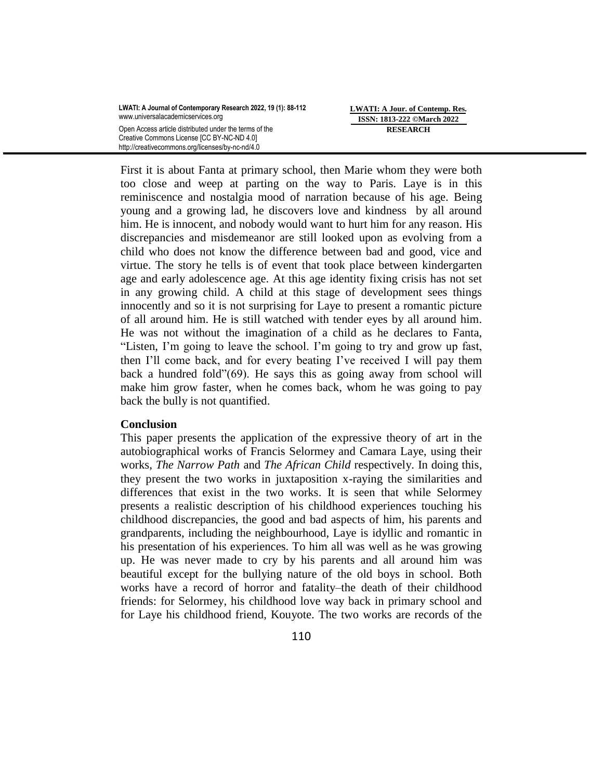First it is about Fanta at primary school, then Marie whom they were both too close and weep at parting on the way to Paris. Laye is in this reminiscence and nostalgia mood of narration because of his age. Being young and a growing lad, he discovers love and kindness by all around him. He is innocent, and nobody would want to hurt him for any reason. His discrepancies and misdemeanor are still looked upon as evolving from a child who does not know the difference between bad and good, vice and virtue. The story he tells is of event that took place between kindergarten age and early adolescence age. At this age identity fixing crisis has not set in any growing child. A child at this stage of development sees things innocently and so it is not surprising for Laye to present a romantic picture of all around him. He is still watched with tender eyes by all around him. He was not without the imagination of a child as he declares to Fanta, "Listen, I"m going to leave the school. I"m going to try and grow up fast, then I"ll come back, and for every beating I"ve received I will pay them back a hundred fold"(69). He says this as going away from school will make him grow faster, when he comes back, whom he was going to pay back the bully is not quantified.

# **Conclusion**

This paper presents the application of the expressive theory of art in the autobiographical works of Francis Selormey and Camara Laye, using their works, *The Narrow Path* and *The African Child* respectively. In doing this, they present the two works in juxtaposition x-raying the similarities and differences that exist in the two works. It is seen that while Selormey presents a realistic description of his childhood experiences touching his childhood discrepancies, the good and bad aspects of him, his parents and grandparents, including the neighbourhood, Laye is idyllic and romantic in his presentation of his experiences. To him all was well as he was growing up. He was never made to cry by his parents and all around him was beautiful except for the bullying nature of the old boys in school. Both works have a record of horror and fatality–the death of their childhood friends: for Selormey, his childhood love way back in primary school and for Laye his childhood friend, Kouyote. The two works are records of the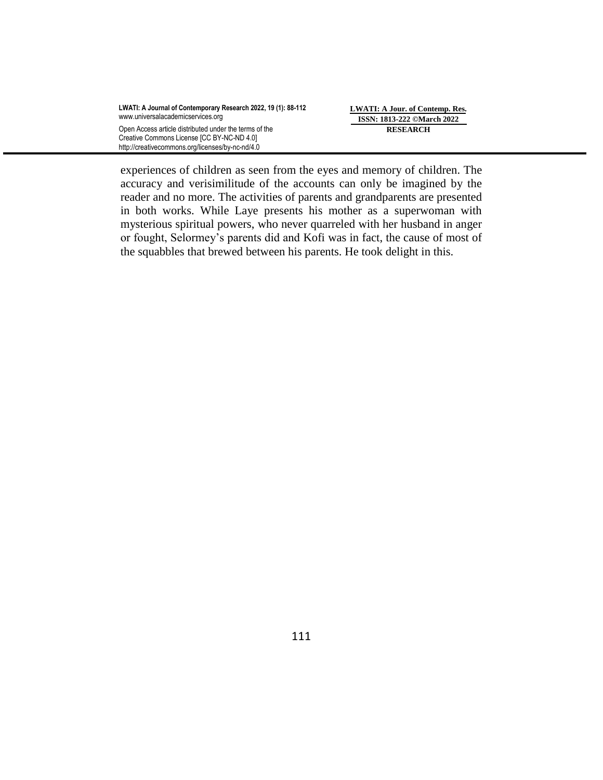**LWATI: A Jour. of Contemp. Res. ISSN: 1813-222 ©March 2022 RESEARCH**

experiences of children as seen from the eyes and memory of children. The accuracy and verisimilitude of the accounts can only be imagined by the reader and no more. The activities of parents and grandparents are presented in both works. While Laye presents his mother as a superwoman with mysterious spiritual powers, who never quarreled with her husband in anger or fought, Selormey"s parents did and Kofi was in fact, the cause of most of the squabbles that brewed between his parents. He took delight in this.